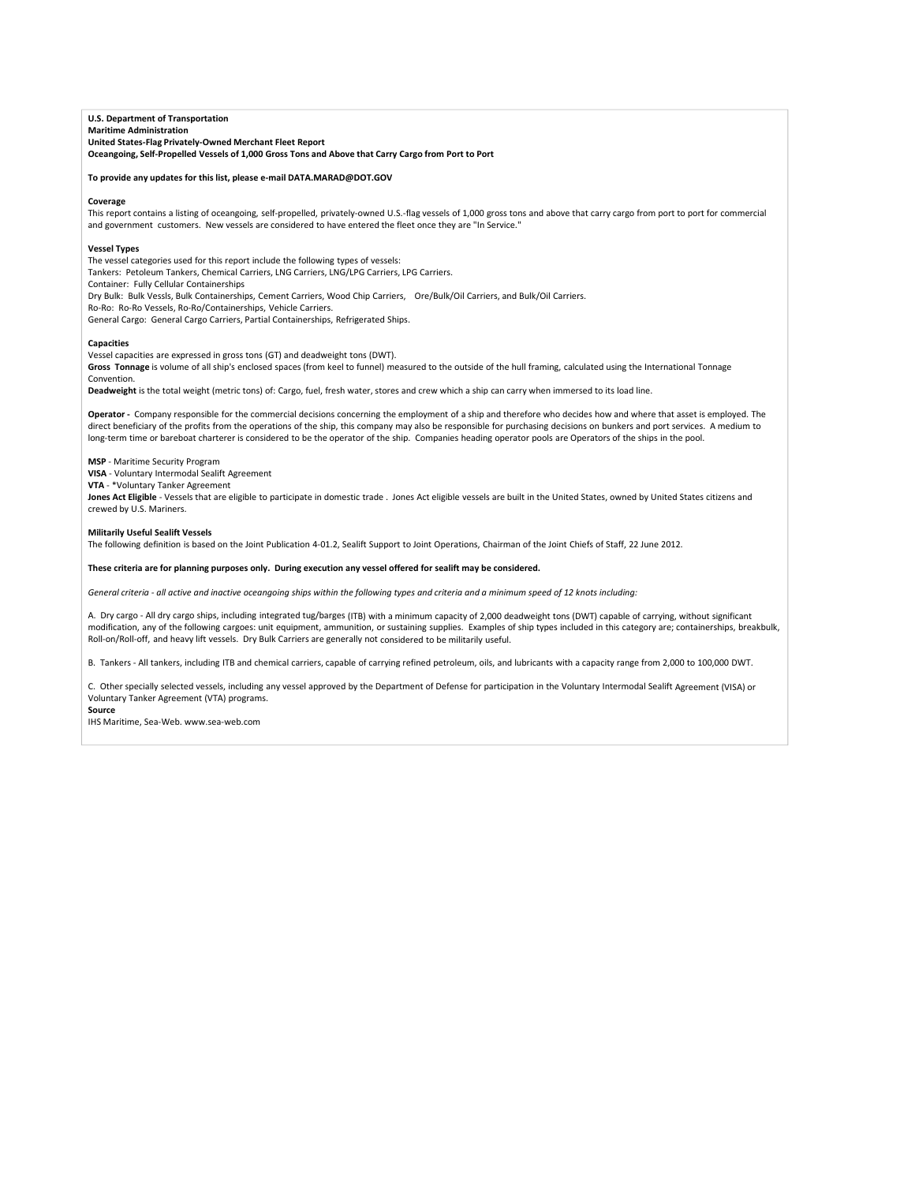**U.S. Department of Transportation Maritime Administration United States‐Flag Privately‐Owned Merchant Fleet Report Oceangoing, Self‐Propelled Vessels of 1,000 Gross Tons and Above that Carry Cargo from Port to Port**

### **To provide any updates for this list, please e‐mail DATA.MARAD@DOT.GOV**

#### **Coverage**

This report contains a listing of oceangoing, self-propelled, privately-owned U.S.-flag vessels of 1,000 gross tons and above that carry cargo from port to port for commercial and government customers. New vessels are considered to have entered the fleet once they are "In Service."

#### **Vessel Types**

The vessel categories used for this report include the following types of vessels:

Tankers: Petoleum Tankers, Chemical Carriers, LNG Carriers, LNG/LPG Carriers, LPG Carriers.

Container: Fully Cellular Containerships

Dry Bulk: Bulk Vessls, Bulk Containerships, Cement Carriers, Wood Chip Carriers, Ore/Bulk/Oil Carriers, and Bulk/Oil Carriers.

Ro‐Ro: Ro‐Ro Vessels, Ro‐Ro/Containerships, Vehicle Carriers.

General Cargo: General Cargo Carriers, Partial Containerships, Refrigerated Ships.

#### **Capacities**

Vessel capacities are expressed in gross tons (GT) and deadweight tons (DWT).

**Gross Tonnage** is volume of all ship's enclosed spaces (from keel to funnel) measured to the outside of the hull framing, calculated using the International Tonnage Convention.

**Deadweight** is the total weight (metric tons) of: Cargo, fuel, fresh water, stores and crew which a ship can carry when immersed to its load line.

**Operator ‐** Company responsible for the commercial decisions concerning the employment of a ship and therefore who decides how and where that asset is employed. The direct beneficiary of the profits from the operations of the ship, this company may also be responsible for purchasing decisions on bunkers and port services. A medium to long‐term time or bareboat charterer is considered to be the operator of the ship. Companies heading operator pools are Operators of the ships in the pool.

# **MSP** ‐ Maritime Security Program

**VISA** ‐ Voluntary Intermodal Sealift Agreement

**VTA** ‐ \*Voluntary Tanker Agreement

Jones Act Eligible - Vessels that are eligible to participate in domestic trade . Jones Act eligible vessels are built in the United States, owned by United States citizens and crewed by U.S. Mariners.

### **Militarily Useful Sealift Vessels**

The following definition is based on the Joint Publication 4‐01.2, Sealift Support to Joint Operations, Chairman of the Joint Chiefs of Staff, 22 June 2012.

# These criteria are for planning purposes only. During execution any vessel offered for sealift may be considered.

General criteria - all active and inactive oceangoing ships within the following types and criteria and a minimum speed of 12 knots including:

A. Dry cargo ‐ All dry cargo ships, including integrated tug/barges (ITB) with a minimum capacity of 2,000 deadweight tons (DWT) capable of carrying, without significant modification, any of the following cargoes: unit equipment, ammunition, or sustaining supplies. Examples of ship types included in this category are; containerships, breakbulk, Roll‐on/Roll‐off, and heavy lift vessels. Dry Bulk Carriers are generally not considered to be militarily useful.

B. Tankers - All tankers, including ITB and chemical carriers, capable of carrying refined petroleum, oils, and lubricants with a capacity range from 2,000 to 100,000 DWT.

C. Other specially selected vessels, including any vessel approved by the Department of Defense for participation in the Voluntary Intermodal Sealift Agreement (VISA) or Voluntary Tanker Agreement (VTA) programs.

**Source** IHS Maritime, Sea‐Web. www.sea‐web.com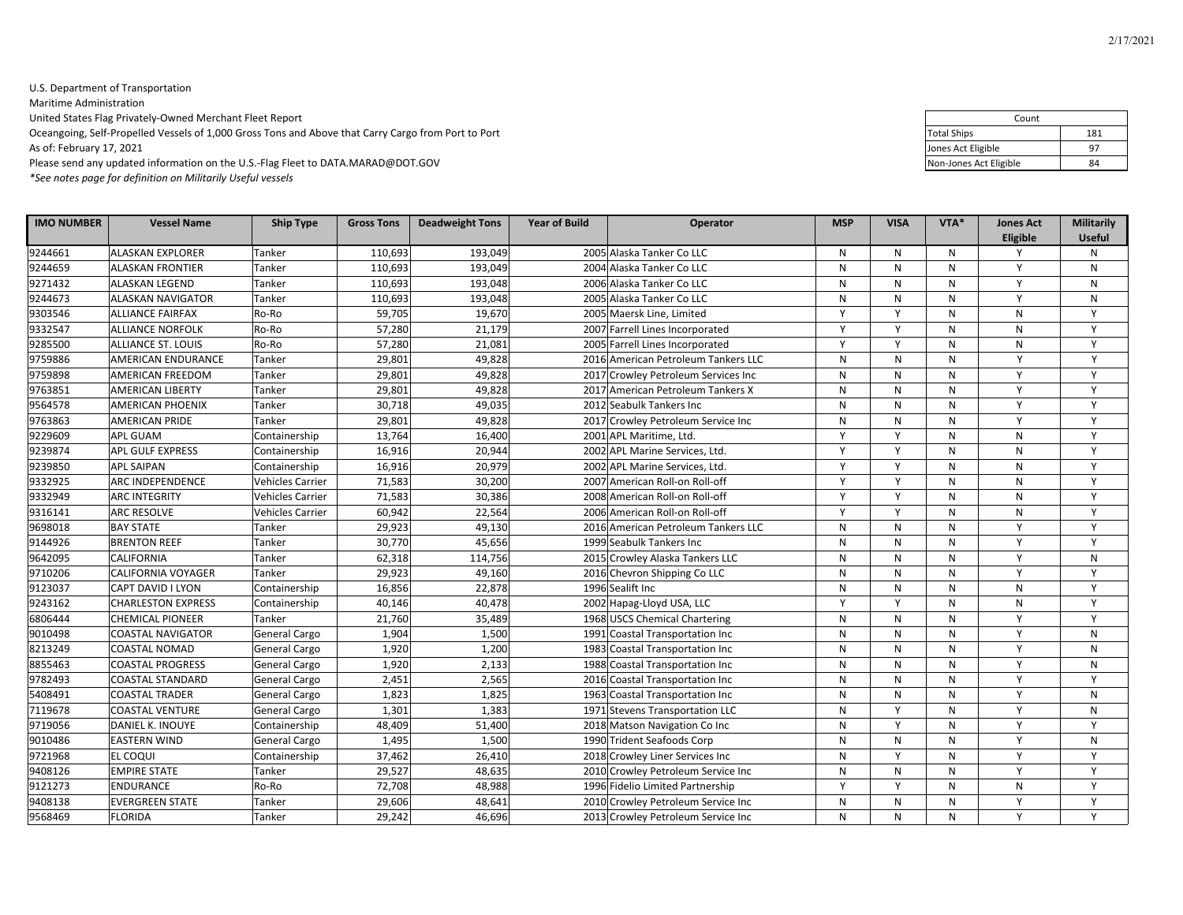# U.S. Department of Transportation Maritime Administration United States Flag Privately‐Owned Merchant Fleet Report Oceangoing, Self-Propelled Vessels of 1,000 Gross Tons and Above that Carry Cargo from Port to Port As of: February 17, 2021 <sup>97</sup> Please send any updated information on the U.S.‐Flag Fleet to DATA.MARAD@DOT.GOV <sup>84</sup>

*\*See notes page for definition on Militarily Useful vessels*

| <b>IMO NUMBER</b> | <b>Vessel Name</b>        | <b>Ship Type</b>        | <b>Gross Tons</b> | <b>Deadweight Tons</b> | <b>Year of Build</b> | Operator                            | <b>MSP</b>   | <b>VISA</b>  | VTA*         | <b>Jones Act</b><br>Eligible | Militarily<br><b>Useful</b> |
|-------------------|---------------------------|-------------------------|-------------------|------------------------|----------------------|-------------------------------------|--------------|--------------|--------------|------------------------------|-----------------------------|
| 9244661           | <b>ALASKAN EXPLORER</b>   | Tanker                  | 110,693           | 193,049                |                      | 2005 Alaska Tanker Co LLC           | N            | N            | N            | Y                            | N                           |
| 9244659           | <b>ALASKAN FRONTIER</b>   | Tanker                  | 110,693           | 193,049                |                      | 2004 Alaska Tanker Co LLC           | N            | $\mathsf{N}$ | N            | $\mathsf{v}$                 | $\mathsf{N}$                |
| 9271432           | <b>ALASKAN LEGEND</b>     | Tanker                  | 110,693           | 193,048                |                      | 2006 Alaska Tanker Co LLC           | N            | N            | N            | Y                            | N                           |
| 9244673           | <b>ALASKAN NAVIGATOR</b>  | Tanker                  | 110,693           | 193,048                |                      | 2005 Alaska Tanker Co LLC           | N            | $\mathsf{N}$ | $\mathsf{N}$ | Y                            | N                           |
| 9303546           | <b>ALLIANCE FAIRFAX</b>   | Ro-Ro                   | 59,705            | 19,670                 |                      | 2005 Maersk Line, Limited           | Y            | Y            | N            | N                            | Y                           |
| 9332547           | <b>ALLIANCE NORFOLK</b>   | Ro-Ro                   | 57,280            | 21,179                 |                      | 2007 Farrell Lines Incorporated     | $\mathsf{v}$ | Y            | N            | ${\sf N}$                    | Y                           |
| 9285500           | <b>ALLIANCE ST. LOUIS</b> | Ro-Ro                   | 57,280            | 21,081                 |                      | 2005 Farrell Lines Incorporated     | Y            | Y            | N            | N                            | Y                           |
| 9759886           | <b>AMERICAN ENDURANCE</b> | Tanker                  | 29,801            | 49.828                 |                      | 2016 American Petroleum Tankers LLC | N            | N            | N            | Y                            | Y                           |
| 9759898           | <b>AMERICAN FREEDOM</b>   | Tanker                  | 29,801            | 49,828                 |                      | 2017 Crowley Petroleum Services Inc | N            | N            | N            | Y                            | Y                           |
| 9763851           | <b>AMERICAN LIBERTY</b>   | Tanker                  | 29,801            | 49,828                 |                      | 2017 American Petroleum Tankers X   | N            | N            | N            | $\mathsf{v}$                 | Y                           |
| 9564578           | <b>AMERICAN PHOENIX</b>   | Tanker                  | 30,718            | 49,035                 |                      | 2012 Seabulk Tankers Inc            | N            | N            | N            | Y                            | Y                           |
| 9763863           | <b>AMERICAN PRIDE</b>     | Tanker                  | 29,801            | 49,828                 |                      | 2017 Crowley Petroleum Service Inc  | N            | $\mathsf{N}$ | N            | Y                            | Y                           |
| 9229609           | <b>APL GUAM</b>           | Containership           | 13,764            | 16,400                 |                      | 2001 APL Maritime, Ltd.             | Y            | Y            | N            | N                            | Y                           |
| 9239874           | <b>APL GULF EXPRESS</b>   | Containership           | 16,916            | 20,944                 |                      | 2002 APL Marine Services, Ltd.      | Y            | Y            | N            | N                            | Y                           |
| 9239850           | <b>APL SAIPAN</b>         | Containership           | 16,916            | 20,979                 |                      | 2002 APL Marine Services, Ltd.      | Y            | Y            | N            | N                            | Y                           |
| 9332925           | <b>ARC INDEPENDENCE</b>   | <b>Vehicles Carrier</b> | 71,583            | 30,200                 |                      | 2007 American Roll-on Roll-off      | Y            | Y            | N            | N                            | Y                           |
| 9332949           | <b>ARC INTEGRITY</b>      | <b>Vehicles Carrier</b> | 71,583            | 30,386                 |                      | 2008 American Roll-on Roll-off      | Y            | Y            | N            | N                            | Y                           |
| 9316141           | <b>ARC RESOLVE</b>        | <b>Vehicles Carrier</b> | 60,942            | 22,564                 |                      | 2006 American Roll-on Roll-off      | Y            | Y            | $\mathsf{N}$ | N                            | Y                           |
| 9698018           | <b>BAY STATE</b>          | Tanker                  | 29,923            | 49,130                 |                      | 2016 American Petroleum Tankers LLC | N            | $\mathsf{N}$ | N            | Y                            | Y                           |
| 9144926           | <b>BRENTON REEF</b>       | Tanker                  | 30,770            | 45,656                 |                      | 1999 Seabulk Tankers Inc            | N            | $\mathsf{N}$ | N            | Y                            | Y                           |
| 9642095           | <b>CALIFORNIA</b>         | Tanker                  | 62,318            | 114,756                |                      | 2015 Crowley Alaska Tankers LLC     | N            | N            | N            | Y                            | N                           |
| 9710206           | <b>CALIFORNIA VOYAGER</b> | Tanker                  | 29,923            | 49,160                 |                      | 2016 Chevron Shipping Co LLC        | N            | $\mathsf{N}$ | $\mathsf{N}$ | Y                            | Y                           |
| 9123037           | CAPT DAVID I LYON         | Containership           | 16,856            | 22,878                 |                      | 1996 Sealift Inc                    | N            | $\mathsf{N}$ | N            | N                            | Y                           |
| 9243162           | <b>CHARLESTON EXPRESS</b> | Containership           | 40,146            | 40,478                 |                      | 2002 Hapag-Lloyd USA, LLC           | Y            | Y            | N            | N                            | Y                           |
| 6806444           | <b>CHEMICAL PIONEER</b>   | Tanker                  | 21,760            | 35,489                 |                      | 1968 USCS Chemical Chartering       | N            | $\mathsf{N}$ | N            | Y                            | Y                           |
| 9010498           | <b>COASTAL NAVIGATOR</b>  | <b>General Cargo</b>    | 1,904             | 1,500                  |                      | 1991 Coastal Transportation Inc     | N            | N            | N            | Y                            | N                           |
| 8213249           | <b>COASTAL NOMAD</b>      | <b>General Cargo</b>    | 1,920             | 1,200                  |                      | 1983 Coastal Transportation Inc     | N            | $\mathsf{N}$ | N            | Y                            | N                           |
| 8855463           | <b>COASTAL PROGRESS</b>   | <b>General Cargo</b>    | 1,920             | 2,133                  |                      | 1988 Coastal Transportation Inc     | N            | N            | N            | Y                            | N                           |
| 9782493           | <b>COASTAL STANDARD</b>   | <b>General Cargo</b>    | 2,451             | 2,565                  |                      | 2016 Coastal Transportation Inc     | N            | N            | N            | Y                            | Y                           |
| 5408491           | <b>COASTAL TRADER</b>     | <b>General Cargo</b>    | 1,823             | 1,825                  |                      | 1963 Coastal Transportation Inc     | N            | $\mathsf{N}$ | N            | Y                            | $\mathsf{N}$                |
| 7119678           | <b>COASTAL VENTURE</b>    | <b>General Cargo</b>    | 1,301             | 1,383                  |                      | 1971 Stevens Transportation LLC     | N            | Y            | N            | Y                            | $\mathsf{N}$                |
| 9719056           | DANIEL K. INOUYE          | Containership           | 48,409            | 51,400                 |                      | 2018 Matson Navigation Co Inc       | N            | Y            | N            | $\mathsf{v}$                 | Y                           |
| 9010486           | <b>EASTERN WIND</b>       | <b>General Cargo</b>    | 1,495             | 1,500                  |                      | 1990 Trident Seafoods Corp          | N            | $\mathsf{N}$ | N            | Y                            | N                           |
| 9721968           | <b>EL COQUI</b>           | Containership           | 37,462            | 26,410                 |                      | 2018 Crowley Liner Services Inc     | N            | Y            | N            | Y                            | Y                           |
| 9408126           | <b>EMPIRE STATE</b>       | Tanker                  | 29,527            | 48,635                 |                      | 2010 Crowley Petroleum Service Inc  | N            | N            | N            | Y                            | Y                           |
| 9121273           | <b>ENDURANCE</b>          | Ro-Ro                   | 72,708            | 48,988                 |                      | 1996 Fidelio Limited Partnership    | Y            | Y            | N            | N                            | Y                           |
| 9408138           | <b>EVERGREEN STATE</b>    | Tanker                  | 29,606            | 48,641                 |                      | 2010 Crowley Petroleum Service Inc  | N            | N            | N            | Y                            | Y                           |
| 9568469           | <b>FLORIDA</b>            | Tanker                  | 29,242            | 46,696                 |                      | 2013 Crowley Petroleum Service Inc  | N            | $\mathsf{N}$ | N            | Y                            | Y                           |

| Count                  |     |
|------------------------|-----|
| <b>Total Ships</b>     | 181 |
| Jones Act Eligible     | 97  |
| Non-Jones Act Eligible | 84  |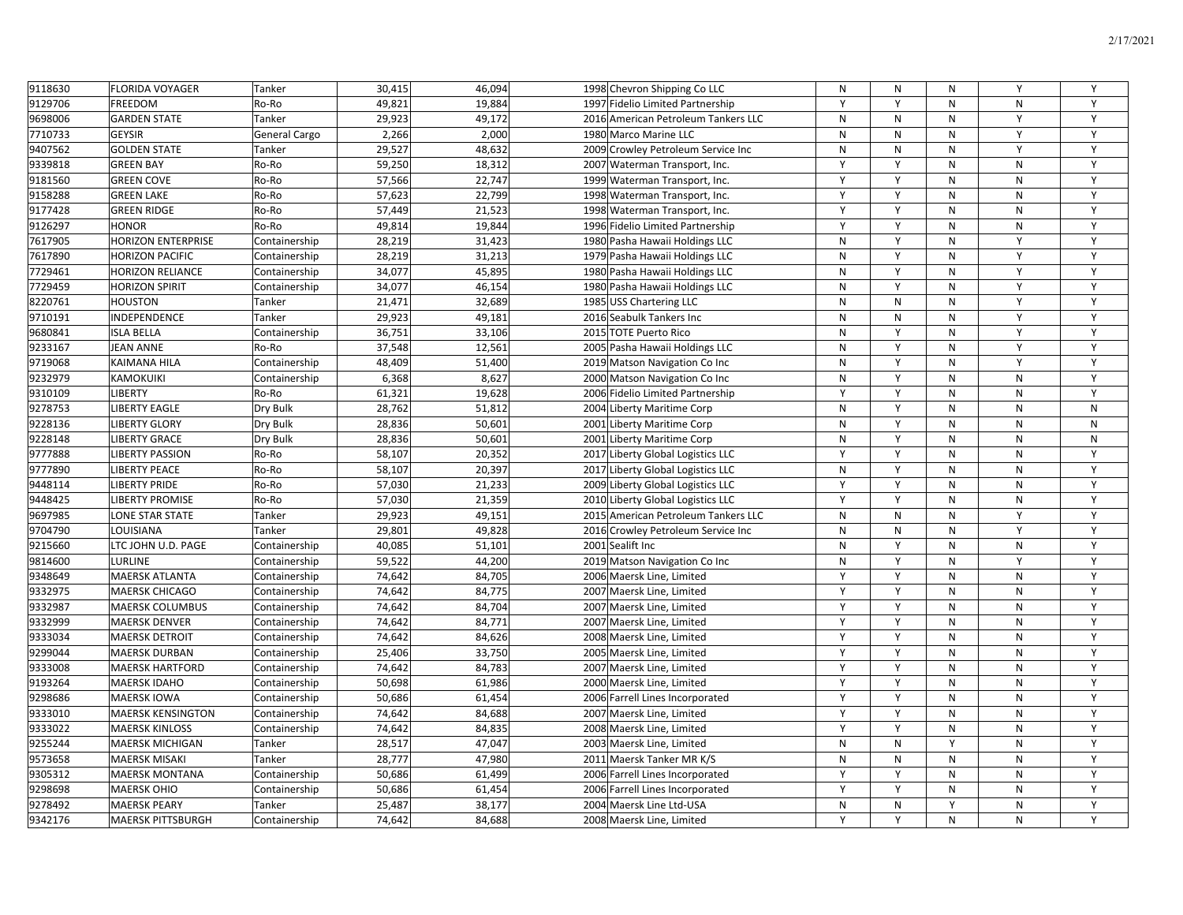| 9118630 | <b>FLORIDA VOYAGER</b>    | Tanker               | 30,415 | 46,094 | 1998 Chevron Shipping Co LLC        | N | N | N            | Y         | Y            |
|---------|---------------------------|----------------------|--------|--------|-------------------------------------|---|---|--------------|-----------|--------------|
| 9129706 | <b>FREEDOM</b>            | Ro-Ro                | 49,821 | 19,884 | 1997 Fidelio Limited Partnership    | Y | Y | N            | N         | Y            |
| 9698006 | <b>GARDEN STATE</b>       | Tanker               | 29,923 | 49,172 | 2016 American Petroleum Tankers LLC | N | N | N            | Y         | Y            |
| 7710733 | <b>GEYSIR</b>             | <b>General Cargo</b> | 2,266  | 2,000  | 1980 Marco Marine LLC               | N | N | N            | Y         | Y            |
| 9407562 | <b>GOLDEN STATE</b>       | Tanker               | 29,527 | 48,632 | 2009 Crowley Petroleum Service Inc  | N | N | ${\sf N}$    | Y         | Y            |
| 9339818 | <b>GREEN BAY</b>          | Ro-Ro                | 59,250 | 18,312 | 2007 Waterman Transport, Inc.       | Y | Y | N            | N         | Y            |
| 9181560 | <b>GREEN COVE</b>         | Ro-Ro                | 57,566 | 22,747 | 1999 Waterman Transport, Inc.       | Y | Y | N            | N         | Y            |
| 9158288 | <b>GREEN LAKE</b>         | Ro-Ro                | 57,623 | 22,799 | 1998 Waterman Transport, Inc.       | Y | Y | N            | N         | Y            |
| 9177428 | <b>GREEN RIDGE</b>        | Ro-Ro                | 57,449 | 21,523 | 1998 Waterman Transport, Inc.       | Y | Y | N            | ${\sf N}$ | Υ            |
| 9126297 | <b>HONOR</b>              | Ro-Ro                | 49,814 | 19,844 | 1996 Fidelio Limited Partnership    | Y | Y | N            | ${\sf N}$ | Y            |
| 7617905 | <b>HORIZON ENTERPRISE</b> | Containership        | 28,219 | 31,423 | 1980 Pasha Hawaii Holdings LLC      | N | Y | N            | Y         | Y            |
| 7617890 | <b>HORIZON PACIFIC</b>    | Containership        | 28,219 | 31,213 | 1979 Pasha Hawaii Holdings LLC      | N | Y | N            | Y         | Y            |
| 7729461 | <b>HORIZON RELIANCE</b>   | Containership        | 34,077 | 45,895 | 1980 Pasha Hawaii Holdings LLC      | N | Y | N            | Y         | Y            |
| 7729459 | <b>HORIZON SPIRIT</b>     | Containership        | 34,077 | 46,154 | 1980 Pasha Hawaii Holdings LLC      | N | Y | N            | Y         | Y            |
| 8220761 | <b>HOUSTON</b>            | Tanker               | 21,471 | 32,689 | 1985 USS Chartering LLC             | N | N | N            | Y         | Y            |
| 9710191 | INDEPENDENCE              | Tanker               | 29,923 | 49,181 | 2016 Seabulk Tankers Inc            | N | N | N            | Y         | $\mathsf{Y}$ |
| 9680841 | <b>ISLA BELLA</b>         | Containership        | 36,751 | 33,106 | 2015 TOTE Puerto Rico               | N | Y | N            | Y         | Υ            |
| 9233167 | <b>JEAN ANNE</b>          | Ro-Ro                | 37,548 | 12,561 | 2005 Pasha Hawaii Holdings LLC      | N | Y | N            | Y         | Y            |
| 9719068 | KAIMANA HILA              | Containership        | 48,409 | 51,400 | 2019 Matson Navigation Co Inc       | N | Y | ${\sf N}$    | Y         | Y            |
| 9232979 | KAMOKUIKI                 | Containership        | 6,368  | 8,627  | 2000 Matson Navigation Co Inc       | N | Y | N            | ${\sf N}$ | Y            |
| 9310109 | <b>LIBERTY</b>            | Ro-Ro                | 61,321 | 19,628 | 2006 Fidelio Limited Partnership    | Y | Y | N            | ${\sf N}$ | Y            |
| 9278753 | <b>LIBERTY EAGLE</b>      | Dry Bulk             | 28,762 | 51,812 | 2004 Liberty Maritime Corp          | N | Y | N            | ${\sf N}$ | ${\sf N}$    |
| 9228136 | <b>LIBERTY GLORY</b>      | Dry Bulk             | 28,836 | 50,601 | 2001 Liberty Maritime Corp          | N | Y | N            | ${\sf N}$ | ${\sf N}$    |
| 9228148 | <b>LIBERTY GRACE</b>      | Dry Bulk             | 28,836 | 50,601 | 2001 Liberty Maritime Corp          | N | Y | N            | ${\sf N}$ | ${\sf N}$    |
| 9777888 | <b>LIBERTY PASSION</b>    | Ro-Ro                | 58,107 | 20,352 | 2017 Liberty Global Logistics LLC   | Y | Y | N            | ${\sf N}$ | Y            |
| 9777890 | <b>LIBERTY PEACE</b>      | Ro-Ro                | 58,107 | 20,397 | 2017 Liberty Global Logistics LLC   | N | Y | N            | N         | Y            |
| 9448114 | <b>LIBERTY PRIDE</b>      | Ro-Ro                | 57,030 | 21,233 | 2009 Liberty Global Logistics LLC   | Y | Y | N            | ${\sf N}$ | Y            |
| 9448425 | <b>LIBERTY PROMISE</b>    | Ro-Ro                | 57,030 | 21,359 | 2010 Liberty Global Logistics LLC   | Y | Y | N            | ${\sf N}$ | Y            |
| 9697985 | LONE STAR STATE           | Tanker               | 29,923 | 49,151 | 2015 American Petroleum Tankers LLC | N | N | ${\sf N}$    | Y         | Y            |
| 9704790 | LOUISIANA                 | Tanker               | 29,801 | 49,828 | 2016 Crowley Petroleum Service Inc  | N | N | N            | Y         | Y            |
| 9215660 | LTC JOHN U.D. PAGE        | Containership        | 40,085 | 51,101 | 2001 Sealift Inc                    | N | Y | N            | N         | Y            |
| 9814600 | LURLINE                   | Containership        | 59,522 | 44,200 | 2019 Matson Navigation Co Inc       | N | Y | N            | Y         | Y            |
| 9348649 | <b>MAERSK ATLANTA</b>     | Containership        | 74,642 | 84,705 | 2006 Maersk Line, Limited           | Y | Y | N            | ${\sf N}$ | Y            |
| 9332975 | MAERSK CHICAGO            | Containership        | 74,642 | 84,775 | 2007 Maersk Line, Limited           | Y | Y | N            | N         | Y            |
| 9332987 | <b>MAERSK COLUMBUS</b>    | Containership        | 74,642 | 84,704 | 2007 Maersk Line, Limited           | Y | Y | N            | N         | Y            |
| 9332999 | <b>MAERSK DENVER</b>      | Containership        | 74,642 | 84,771 | 2007 Maersk Line, Limited           | Y | Y | N            | ${\sf N}$ | Υ            |
| 9333034 | <b>MAERSK DETROIT</b>     | Containership        | 74,642 | 84,626 | 2008 Maersk Line, Limited           | Y | Y | N            | N         | Y            |
| 9299044 | <b>MAERSK DURBAN</b>      | Containership        | 25,406 | 33,750 | 2005 Maersk Line, Limited           | Y | Y | ${\sf N}$    | ${\sf N}$ | Y            |
| 9333008 | <b>MAERSK HARTFORD</b>    | Containership        | 74,642 | 84,783 | 2007 Maersk Line, Limited           | Y | Y | N            | N         | Y            |
| 9193264 | <b>MAERSK IDAHO</b>       | Containership        | 50,698 | 61,986 | 2000 Maersk Line, Limited           | Y | Y | N            | ${\sf N}$ | Y            |
| 9298686 | <b>MAERSK IOWA</b>        | Containership        | 50,686 | 61,454 | 2006 Farrell Lines Incorporated     | Y | Y | N            | ${\sf N}$ | Y            |
| 9333010 | <b>MAERSK KENSINGTON</b>  | Containership        | 74,642 | 84,688 | 2007 Maersk Line, Limited           | Y | Y | N            | ${\sf N}$ | Y            |
| 9333022 | <b>MAERSK KINLOSS</b>     | Containership        | 74,642 | 84,835 | 2008 Maersk Line, Limited           | Y | Y | N            | ${\sf N}$ | Y            |
| 9255244 | <b>MAERSK MICHIGAN</b>    | Tanker               | 28,517 | 47,047 | 2003 Maersk Line, Limited           | N | N | Y            | ${\sf N}$ | Y            |
| 9573658 | <b>MAERSK MISAKI</b>      | Tanker               | 28,777 | 47,980 | 2011 Maersk Tanker MR K/S           | N | N | N            | ${\sf N}$ | Y            |
| 9305312 | <b>MAERSK MONTANA</b>     | Containership        | 50,686 | 61,499 | 2006 Farrell Lines Incorporated     | Y | Y | N            | ${\sf N}$ | Y            |
| 9298698 | <b>MAERSK OHIO</b>        | Containership        | 50,686 | 61,454 | 2006 Farrell Lines Incorporated     | Y | Y | N            | ${\sf N}$ | Y            |
| 9278492 | <b>MAERSK PEARY</b>       | Tanker               | 25,487 | 38,177 | 2004 Maersk Line Ltd-USA            | N | N | Y            | ${\sf N}$ | Y            |
| 9342176 | <b>MAERSK PITTSBURGH</b>  | Containership        | 74,642 | 84,688 | 2008 Maersk Line, Limited           | Y | Y | $\mathsf{N}$ | N         | Y            |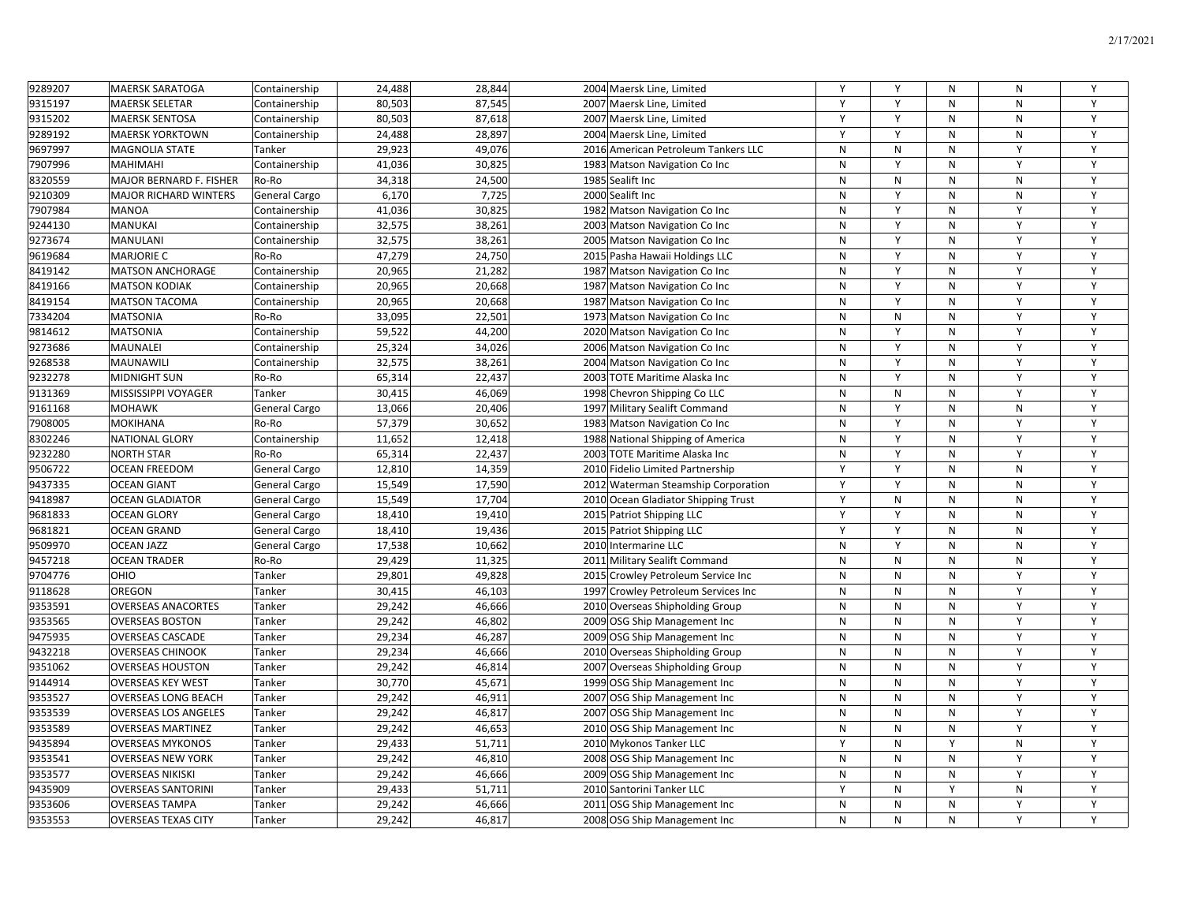| 9289207 | <b>MAERSK SARATOGA</b>         | Containership        | 24,488 | 28,844 | 2004 Maersk Line, Limited           | Y         | Y         | $\mathsf{N}$ | ${\sf N}$ | Y |
|---------|--------------------------------|----------------------|--------|--------|-------------------------------------|-----------|-----------|--------------|-----------|---|
| 9315197 | <b>MAERSK SELETAR</b>          | Containership        | 80,503 | 87,545 | 2007 Maersk Line, Limited           | Y         | Y         | N            | N         | Y |
| 9315202 | <b>MAERSK SENTOSA</b>          | Containership        | 80,503 | 87,618 | 2007 Maersk Line, Limited           | Y         | Y         | N            | N         | Y |
| 9289192 | <b>MAERSK YORKTOWN</b>         | Containership        | 24,488 | 28,897 | 2004 Maersk Line, Limited           | Y         | Y         | N            | N         | Y |
| 9697997 | <b>MAGNOLIA STATE</b>          | Tanker               | 29,923 | 49,076 | 2016 American Petroleum Tankers LLC | N         | N         | N            | Y         | Y |
| 7907996 | <b>MAHIMAHI</b>                | Containership        | 41,036 | 30,825 | 1983 Matson Navigation Co Inc       | N         | Y         | $\mathsf{N}$ | Y         | Y |
| 8320559 | <b>MAJOR BERNARD F. FISHER</b> | Ro-Ro                | 34,318 | 24,500 | 1985 Sealift Inc                    | ${\sf N}$ | N         | N            | N         | Y |
| 9210309 | <b>MAJOR RICHARD WINTERS</b>   | General Cargo        | 6,170  | 7,725  | 2000 Sealift Inc                    | N         | Y         | N            | N         | Y |
| 7907984 | <b>MANOA</b>                   | Containership        | 41,036 | 30,825 | 1982 Matson Navigation Co Inc       | ${\sf N}$ | Y         | N            | Y         | Y |
| 9244130 | <b>MANUKAI</b>                 | Containership        | 32,575 | 38,261 | 2003 Matson Navigation Co Inc       | N         | Y         | N            | Y         | Y |
| 9273674 | <b>MANULANI</b>                | Containership        | 32,575 | 38,261 | 2005 Matson Navigation Co Inc       | N         | Y         | N            | Y         | Y |
| 9619684 | <b>MARJORIE C</b>              | Ro-Ro                | 47,279 | 24,750 | 2015 Pasha Hawaii Holdings LLC      | N         | Y         | N            | Y         | Y |
| 8419142 | <b>MATSON ANCHORAGE</b>        | Containership        | 20,965 | 21,282 | 1987 Matson Navigation Co Inc       | N         | Y         | N            | Y         | Y |
| 8419166 | <b>MATSON KODIAK</b>           | Containership        | 20,965 | 20,668 | 1987 Matson Navigation Co Inc       | N         | Y         | N            | Y         | Y |
| 8419154 | <b>MATSON TACOMA</b>           | Containership        | 20,965 | 20,668 | 1987 Matson Navigation Co Inc       | N         | Y         | N            | Y         | Y |
| 7334204 | <b>MATSONIA</b>                | Ro-Ro                | 33,095 | 22,501 | 1973 Matson Navigation Co Inc       | N         | N         | N            | Y         | Y |
| 9814612 | <b>MATSONIA</b>                | Containership        | 59,522 | 44,200 | 2020 Matson Navigation Co Inc       | N         | Y         | ${\sf N}$    | Υ         | Y |
| 9273686 | <b>MAUNALEI</b>                | Containership        | 25,324 | 34,026 | 2006 Matson Navigation Co Inc       | ${\sf N}$ | Y         | ${\sf N}$    | Y         | Y |
| 9268538 | <b>MAUNAWILI</b>               | Containership        | 32,575 | 38,261 | 2004 Matson Navigation Co Inc       | ${\sf N}$ | Y         | ${\sf N}$    | Y         | Y |
| 9232278 | <b>MIDNIGHT SUN</b>            | Ro-Ro                | 65,314 | 22,437 | 2003 TOTE Maritime Alaska Inc       | N         | Y         | N            | Y         | Y |
| 9131369 | MISSISSIPPI VOYAGER            | Tanker               | 30,415 | 46,069 | 1998 Chevron Shipping Co LLC        | N         | N         | $\mathsf{N}$ | Y         | Y |
| 9161168 | <b>MOHAWK</b>                  | <b>General Cargo</b> | 13,066 | 20,406 | 1997 Military Sealift Command       | N         | Y         | $\mathsf{N}$ | N         | Y |
| 7908005 | <b>MOKIHANA</b>                | Ro-Ro                | 57,379 | 30,652 | 1983 Matson Navigation Co Inc       | ${\sf N}$ | Y         | ${\sf N}$    | Y         | Y |
| 8302246 | <b>NATIONAL GLORY</b>          | Containership        | 11,652 | 12,418 | 1988 National Shipping of America   | ${\sf N}$ | Y         | N            | Y         | Y |
| 9232280 | <b>NORTH STAR</b>              | Ro-Ro                | 65,314 | 22,437 | 2003 TOTE Maritime Alaska Inc       | N         | Y         | N            | Y         | Y |
| 9506722 | <b>OCEAN FREEDOM</b>           | <b>General Cargo</b> | 12,810 | 14,359 | 2010 Fidelio Limited Partnership    | Y         | Y         | N            | N         | Y |
| 9437335 | <b>OCEAN GIANT</b>             | <b>General Cargo</b> | 15,549 | 17,590 | 2012 Waterman Steamship Corporation | Y         | Y         | N            | N         | Y |
| 9418987 | <b>OCEAN GLADIATOR</b>         | <b>General Cargo</b> | 15,549 | 17,704 | 2010 Ocean Gladiator Shipping Trust | Y         | N         | N            | N         | Y |
| 9681833 | <b>OCEAN GLORY</b>             | <b>General Cargo</b> | 18,410 | 19,410 | 2015 Patriot Shipping LLC           | Y         | Y         | N            | N         | Y |
| 9681821 | <b>OCEAN GRAND</b>             | General Cargo        | 18,410 | 19,436 | 2015 Patriot Shipping LLC           | Y         | Y         | N            | N         | Y |
| 9509970 | <b>OCEAN JAZZ</b>              | <b>General Cargo</b> | 17,538 | 10,662 | 2010 Intermarine LLC                | N         | Y         | N            | N         | Y |
| 9457218 | <b>OCEAN TRADER</b>            | Ro-Ro                | 29,429 | 11,325 | 2011 Military Sealift Command       | N         | N         | N            | N         | Y |
| 9704776 | OHIO                           | Tanker               | 29,801 | 49,828 | 2015 Crowley Petroleum Service Inc  | N         | N         | N            | Y         | Y |
| 9118628 | <b>OREGON</b>                  | Tanker               | 30,415 | 46,103 | 1997 Crowley Petroleum Services Inc | N         | N         | N            | Y         | Y |
| 9353591 | <b>OVERSEAS ANACORTES</b>      | Tanker               | 29,242 | 46,666 | 2010 Overseas Shipholding Group     | N         | N         | N            | Y         | Y |
| 9353565 | <b>OVERSEAS BOSTON</b>         | Tanker               | 29,242 | 46,802 | 2009 OSG Ship Management Inc        | ${\sf N}$ | ${\sf N}$ | N            | Y         | Υ |
| 9475935 | <b>OVERSEAS CASCADE</b>        | Tanker               | 29,234 | 46,287 | 2009 OSG Ship Management Inc        | ${\sf N}$ | N         | ${\sf N}$    | Y         | Y |
| 9432218 | <b>OVERSEAS CHINOOK</b>        | Tanker               | 29,234 | 46,666 | 2010 Overseas Shipholding Group     | ${\sf N}$ | N         | ${\sf N}$    | Υ         | Y |
| 9351062 | <b>OVERSEAS HOUSTON</b>        | Tanker               | 29,242 | 46,814 | 2007 Overseas Shipholding Group     | N         | N         | ${\sf N}$    | Y         | Y |
| 9144914 | <b>OVERSEAS KEY WEST</b>       | Tanker               | 30,770 | 45,671 | 1999 OSG Ship Management Inc        | ${\sf N}$ | N         | ${\sf N}$    | Y         | Y |
| 9353527 | <b>OVERSEAS LONG BEACH</b>     | Tanker               | 29,242 | 46,911 | 2007 OSG Ship Management Inc        | ${\sf N}$ | N         | ${\sf N}$    | Y         | Y |
| 9353539 | <b>OVERSEAS LOS ANGELES</b>    | Tanker               | 29,242 | 46,817 | 2007 OSG Ship Management Inc        | N         | N         | ${\sf N}$    | Y         | Y |
| 9353589 | <b>OVERSEAS MARTINEZ</b>       | Tanker               | 29,242 | 46,653 | 2010 OSG Ship Management Inc        | N         | N         | N            | Y         | Y |
| 9435894 | <b>OVERSEAS MYKONOS</b>        | Tanker               | 29,433 | 51,711 | 2010 Mykonos Tanker LLC             | Y         | N         | Y            | N         | Y |
| 9353541 | <b>OVERSEAS NEW YORK</b>       | Tanker               | 29,242 | 46,810 | 2008 OSG Ship Management Inc        | N         | N         | N            | Y         | Y |
| 9353577 | <b>OVERSEAS NIKISKI</b>        | Tanker               | 29,242 | 46,666 | 2009 OSG Ship Management Inc        | ${\sf N}$ | N         | N            | Y         | Y |
| 9435909 | <b>OVERSEAS SANTORINI</b>      | Tanker               | 29,433 | 51,711 | 2010 Santorini Tanker LLC           | Y         | N         | Y            | N         | Y |
| 9353606 | <b>OVERSEAS TAMPA</b>          | Tanker               | 29,242 | 46,666 | 2011 OSG Ship Management Inc        | N         | N         | N            | Y         | Y |
| 9353553 | <b>OVERSEAS TEXAS CITY</b>     | Tanker               | 29,242 | 46,817 | 2008 OSG Ship Management Inc        | N         | N         | N            | Y         | Y |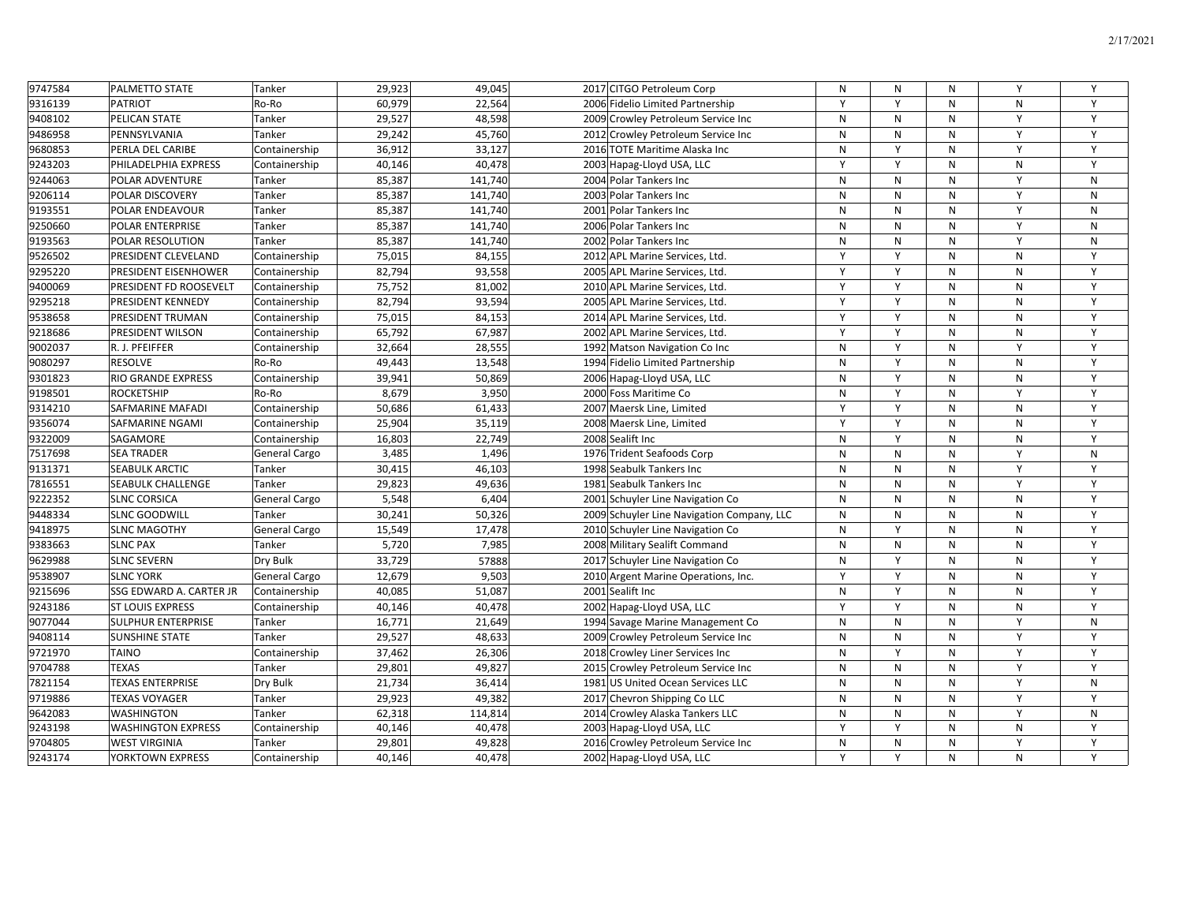| 9747584 | <b>PALMETTO STATE</b>     | Tanker        | 29,923 | 49,045  | 2017 CITGO Petroleum Corp                  | N         | N            | N | Y         | Y |
|---------|---------------------------|---------------|--------|---------|--------------------------------------------|-----------|--------------|---|-----------|---|
| 9316139 | <b>PATRIOT</b>            | Ro-Ro         | 60,979 | 22,564  | 2006 Fidelio Limited Partnership           | Y         | Y            | N | N         | Y |
| 9408102 | PELICAN STATE             | Tanker        | 29,527 | 48,598  | 2009 Crowley Petroleum Service Inc         | N         | N            | N | Y         | Y |
| 9486958 | PENNSYLVANIA              | Tanker        | 29,242 | 45,760  | 2012 Crowley Petroleum Service Inc         | ${\sf N}$ | N            | N | Y         | Y |
| 9680853 | PERLA DEL CARIBE          | Containership | 36,912 | 33,127  | 2016 TOTE Maritime Alaska Inc              | N         | Y            | N | Y         | Y |
| 9243203 | PHILADELPHIA EXPRESS      | Containership | 40,146 | 40,478  | 2003 Hapag-Lloyd USA, LLC                  | Y         | Y            | N | N         | Y |
| 9244063 | POLAR ADVENTURE           | Tanker        | 85,387 | 141,740 | 2004 Polar Tankers Inc                     | N         | N            | N | Y         | N |
| 9206114 | POLAR DISCOVERY           | Tanker        | 85,387 | 141,740 | 2003 Polar Tankers Inc                     | N         | N            | N | Y         | N |
| 9193551 | POLAR ENDEAVOUR           | Tanker        | 85,387 | 141,740 | 2001 Polar Tankers Inc                     | ${\sf N}$ | $\mathsf{N}$ | N | Y         | N |
| 9250660 | POLAR ENTERPRISE          | Tanker        | 85,387 | 141,740 | 2006 Polar Tankers Inc                     | N         | N            | N | Y         | N |
| 9193563 | POLAR RESOLUTION          | Tanker        | 85,387 | 141,740 | 2002 Polar Tankers Inc                     | N         | N            | N | Y         | N |
| 9526502 | PRESIDENT CLEVELAND       | Containership | 75,015 | 84,155  | 2012 APL Marine Services, Ltd.             | Y         | Y            | N | N         | Y |
| 9295220 | PRESIDENT EISENHOWER      | Containership | 82,794 | 93,558  | 2005 APL Marine Services, Ltd.             | Y         | Y            | N | N         | Y |
| 9400069 | PRESIDENT FD ROOSEVELT    | Containership | 75,752 | 81,002  | 2010 APL Marine Services, Ltd.             | Y         | Y            | N | N         | Y |
| 9295218 | PRESIDENT KENNEDY         | Containership | 82,794 | 93,594  | 2005 APL Marine Services, Ltd.             | Y         | Y            | N | N         | Y |
| 9538658 | PRESIDENT TRUMAN          | Containership | 75,015 | 84,153  | 2014 APL Marine Services, Ltd.             | Y         | Y            | N | ${\sf N}$ | Y |
| 9218686 | PRESIDENT WILSON          | Containership | 65,792 | 67,987  | 2002 APL Marine Services, Ltd.             | Y         | Y            | N | N         | Y |
| 9002037 | R. J. PFEIFFER            | Containership | 32,664 | 28,555  | 1992 Matson Navigation Co Inc              | N         | Y            | N | Y         | Y |
| 9080297 | <b>RESOLVE</b>            | Ro-Ro         | 49,443 | 13,548  | 1994 Fidelio Limited Partnership           | ${\sf N}$ | Y            | N | ${\sf N}$ | Y |
| 9301823 | RIO GRANDE EXPRESS        | Containership | 39,941 | 50,869  | 2006 Hapag-Lloyd USA, LLC                  | N         | $\mathsf{Y}$ | N | N         | Y |
| 9198501 | <b>ROCKETSHIP</b>         | Ro-Ro         | 8,679  | 3,950   | 2000 Foss Maritime Co                      | N         | Y            | N | Y         | Υ |
| 9314210 | <b>SAFMARINE MAFADI</b>   | Containership | 50,686 | 61,433  | 2007 Maersk Line, Limited                  | Y         | Y            | N | N         | Y |
| 9356074 | <b>SAFMARINE NGAMI</b>    | Containership | 25,904 | 35,119  | 2008 Maersk Line, Limited                  | Y         | Y            | N | N         | Y |
| 9322009 | SAGAMORE                  | Containership | 16,803 | 22,749  | 2008 Sealift Inc                           | N         | Y            | N | N         | Y |
| 7517698 | <b>SEA TRADER</b>         | General Cargo | 3,485  | 1,496   | 1976 Trident Seafoods Corp                 | N         | N            | N | Y         | N |
| 9131371 | <b>SEABULK ARCTIC</b>     | Tanker        | 30,415 | 46,103  | 1998 Seabulk Tankers Inc                   | ${\sf N}$ | $\mathsf{N}$ | N | Y         | Y |
| 7816551 | <b>SEABULK CHALLENGE</b>  | Tanker        | 29,823 | 49,636  | 1981 Seabulk Tankers Inc                   | N         | N            | N | Y         | Y |
| 9222352 | <b>SLNC CORSICA</b>       | General Cargo | 5,548  | 6,404   | 2001 Schuyler Line Navigation Co           | N         | N            | N | N         | Y |
| 9448334 | <b>SLNC GOODWILL</b>      | Tanker        | 30,241 | 50,326  | 2009 Schuyler Line Navigation Company, LLC | N         | N            | N | N         | Y |
| 9418975 | <b>SLNC MAGOTHY</b>       | General Cargo | 15,549 | 17,478  | 2010 Schuyler Line Navigation Co           | N         | Y            | N | ${\sf N}$ | Y |
| 9383663 | <b>SLNC PAX</b>           | Tanker        | 5,720  | 7,985   | 2008 Military Sealift Command              | N         | N            | N | N         | Y |
| 9629988 | <b>SLNC SEVERN</b>        | Dry Bulk      | 33,729 | 57888   | 2017 Schuyler Line Navigation Co           | N         | Y            | N | N         | Y |
| 9538907 | <b>SLNC YORK</b>          | General Cargo | 12,679 | 9,503   | 2010 Argent Marine Operations, Inc.        | Y         | Y            | N | N         | Y |
| 9215696 | SSG EDWARD A. CARTER JR   | Containership | 40,085 | 51,087  | 2001 Sealift Inc                           | N         | Y            | N | N         | Y |
| 9243186 | <b>ST LOUIS EXPRESS</b>   | Containership | 40,146 | 40,478  | 2002 Hapag-Lloyd USA, LLC                  | Y         | Y            | N | N         | Y |
| 9077044 | <b>SULPHUR ENTERPRISE</b> | Tanker        | 16,771 | 21,649  | 1994 Savage Marine Management Co           | N         | N            | N | Y         | N |
| 9408114 | <b>SUNSHINE STATE</b>     | Tanker        | 29,527 | 48,633  | 2009 Crowley Petroleum Service Inc         | N         | N            | N | Y         | Y |
| 9721970 | <b>TAINO</b>              | Containership | 37,462 | 26,306  | 2018 Crowley Liner Services Inc            | N         | $\mathsf{Y}$ | N | Y         | Y |
| 9704788 | <b>TEXAS</b>              | Tanker        | 29,801 | 49,827  | 2015 Crowley Petroleum Service Inc         | N         | N            | N | Y         | Y |
| 7821154 | <b>TEXAS ENTERPRISE</b>   | Dry Bulk      | 21,734 | 36,414  | 1981 US United Ocean Services LLC          | N         | N            | N | Y         | N |
| 9719886 | <b>TEXAS VOYAGER</b>      | Tanker        | 29,923 | 49,382  | 2017 Chevron Shipping Co LLC               | N         | N            | N | Y         | Y |
| 9642083 | WASHINGTON                | Tanker        | 62,318 | 114,814 | 2014 Crowley Alaska Tankers LLC            | N         | N            | N | Y         | N |
| 9243198 | <b>WASHINGTON EXPRESS</b> | Containership | 40,146 | 40,478  | 2003 Hapag-Lloyd USA, LLC                  | Y         | Y            | N | N         | Y |
| 9704805 | <b>WEST VIRGINIA</b>      | Tanker        | 29,801 | 49,828  | 2016 Crowley Petroleum Service Inc         | N         | N            | N | Y         | Y |
| 9243174 | YORKTOWN EXPRESS          | Containership | 40.146 | 40,478  | 2002 Hapag-Lloyd USA, LLC                  | Y         | $\mathsf{v}$ | N | N         | Y |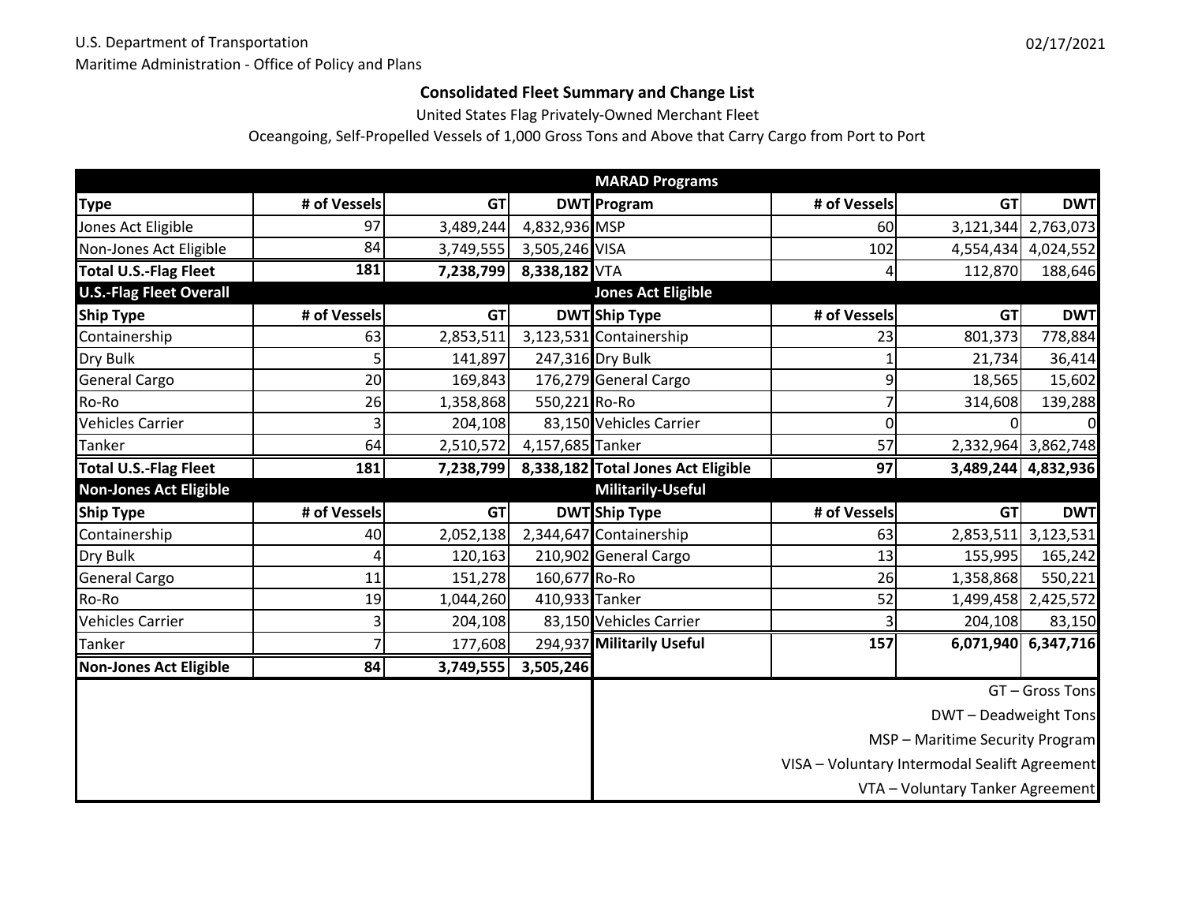# **Consolidated Fleet Summary and Change List**

United States Flag Privately‐Owned Merchant Fleet

Oceangoing, Self‐Propelled Vessels of 1,000 Gross Tons and Above that Carry Cargo from Port to Port

|                                |              |           |                  | <b>MARAD Programs</b>              |              |                                               |                     |
|--------------------------------|--------------|-----------|------------------|------------------------------------|--------------|-----------------------------------------------|---------------------|
| <b>Type</b>                    | # of Vessels | <b>GT</b> |                  | <b>DWT</b> Program                 | # of Vessels | <b>GT</b>                                     | <b>DWT</b>          |
| Jones Act Eligible             | 97           | 3,489,244 | 4,832,936 MSP    |                                    | 60           |                                               | 3,121,344 2,763,073 |
| Non-Jones Act Eligible         | 84           | 3,749,555 | 3,505,246 VISA   |                                    | 102          |                                               | 4,554,434 4,024,552 |
| <b>Total U.S.-Flag Fleet</b>   | 181          | 7,238,799 | 8,338,182 VTA    |                                    | 4            | 112,870                                       | 188,646             |
| <b>U.S.-Flag Fleet Overall</b> |              |           |                  | <b>Jones Act Eligible</b>          |              |                                               |                     |
| <b>Ship Type</b>               | # of Vessels | <b>GT</b> |                  | <b>DWT</b> Ship Type               | # of Vessels | <b>GT</b>                                     | <b>DWT</b>          |
| Containership                  | 63           | 2,853,511 |                  | 3,123,531 Containership            | 23           | 801,373                                       | 778,884             |
| Dry Bulk                       | 5            | 141,897   |                  | 247,316 Dry Bulk                   |              | 21,734                                        | 36,414              |
| <b>General Cargo</b>           | 20           | 169,843   |                  | 176,279 General Cargo              | 9            | 18,565                                        | 15,602              |
| Ro-Ro                          | 26           | 1,358,868 | 550,221 Ro-Ro    |                                    |              | 314,608                                       | 139,288             |
| <b>Vehicles Carrier</b>        | 3            | 204,108   |                  | 83,150 Vehicles Carrier            | 0            |                                               |                     |
| <b>Tanker</b>                  | 64           | 2,510,572 | 4,157,685 Tanker |                                    | 57           |                                               | 2,332,964 3,862,748 |
| <b>Total U.S.-Flag Fleet</b>   | 181          | 7,238,799 |                  | 8,338,182 Total Jones Act Eligible | 97           |                                               | 3,489,244 4,832,936 |
| <b>Non-Jones Act Eligible</b>  |              |           |                  | <b>Militarily-Useful</b>           |              |                                               |                     |
| <b>Ship Type</b>               | # of Vessels | <b>GT</b> |                  | <b>DWT</b> Ship Type               | # of Vessels | <b>GT</b>                                     | <b>DWT</b>          |
| Containership                  | 40           | 2,052,138 |                  | 2,344,647 Containership            | 63           | 2,853,511                                     | 3,123,531           |
| Dry Bulk                       | 4            | 120,163   |                  | 210,902 General Cargo              | 13           | 155,995                                       | 165,242             |
| <b>General Cargo</b>           | 11           | 151,278   | 160,677 Ro-Ro    |                                    | 26           | 1,358,868                                     | 550,221             |
| Ro-Ro                          | 19           | 1,044,260 | 410,933 Tanker   |                                    | 52           |                                               | 1,499,458 2,425,572 |
| <b>Vehicles Carrier</b>        | 3            | 204,108   |                  | 83,150 Vehicles Carrier            |              | 204,108                                       | 83,150              |
| Tanker                         | 7            | 177,608   |                  | 294,937 Militarily Useful          | 157          |                                               | 6,071,940 6,347,716 |
| <b>Non-Jones Act Eligible</b>  | 84           | 3,749,555 | 3,505,246        |                                    |              |                                               |                     |
|                                |              |           |                  |                                    |              |                                               | GT - Gross Tons     |
|                                |              |           |                  |                                    |              | DWT-Deadweight Tons                           |                     |
|                                |              |           |                  |                                    |              | MSP - Maritime Security Program               |                     |
|                                |              |           |                  |                                    |              | VISA - Voluntary Intermodal Sealift Agreement |                     |
|                                |              |           |                  |                                    |              |                                               |                     |
|                                |              |           |                  |                                    |              | VTA - Voluntary Tanker Agreement              |                     |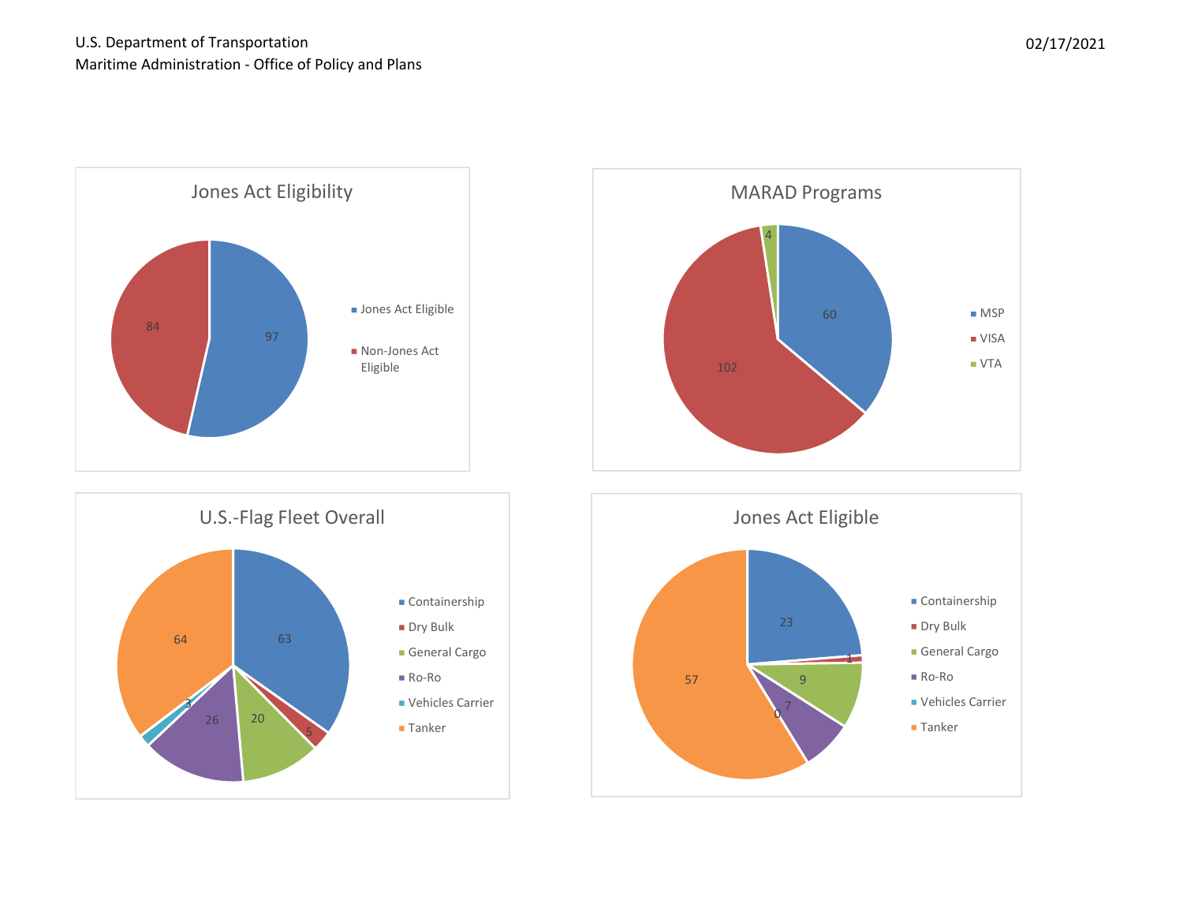







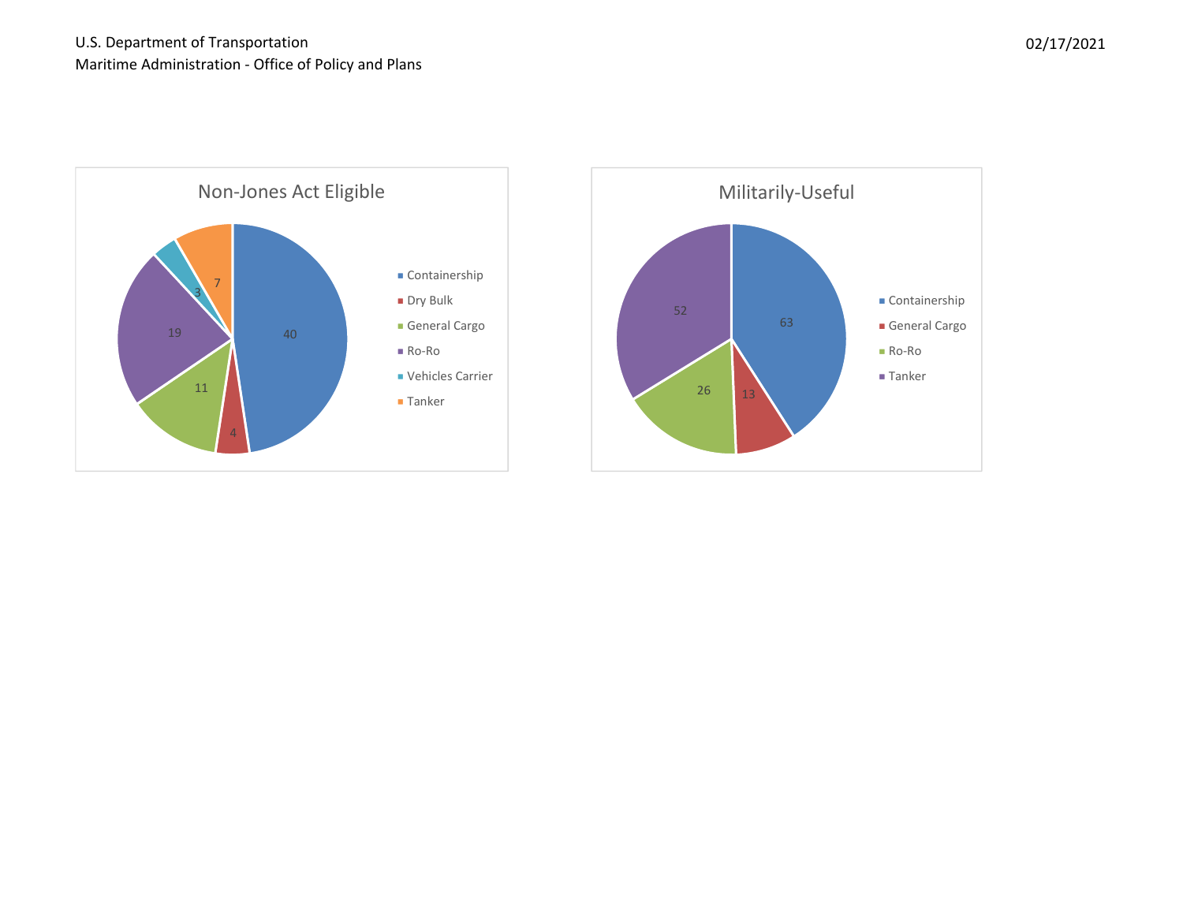